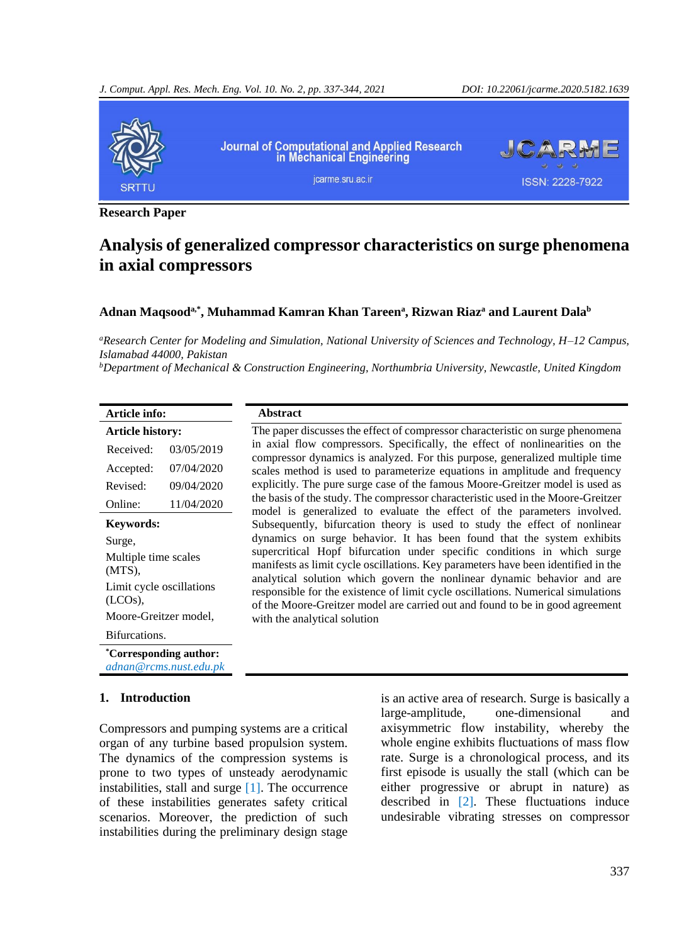

**Research Paper**

# **Analysis of generalized compressor characteristics on surge phenomena in axial compressors**

## **Adnan Maqsooda,\*, Muhammad Kamran Khan Tareen<sup>a</sup> , Rizwan Riaz<sup>a</sup> and Laurent Dala<sup>b</sup>**

*<sup>a</sup>Research Center for Modeling and Simulation, National University of Sciences and Technology, H–12 Campus, Islamabad 44000, Pakistan*

*<sup>b</sup>Department of Mechanical & Construction Engineering, Northumbria University, Newcastle, United Kingdom*

| Article info:                          |            | <b>Abstract</b>                                                                                                                                                                                                                              |
|----------------------------------------|------------|----------------------------------------------------------------------------------------------------------------------------------------------------------------------------------------------------------------------------------------------|
| <b>Article history:</b>                |            | The paper discusses the effect of compressor characteristic on surge phenomena                                                                                                                                                               |
| Received:                              | 03/05/2019 | in axial flow compressors. Specifically, the effect of nonlinearities on the<br>compressor dynamics is analyzed. For this purpose, generalized multiple time                                                                                 |
| Accepted:                              | 07/04/2020 | scales method is used to parameterize equations in amplitude and frequency                                                                                                                                                                   |
| Revised:                               | 09/04/2020 | explicitly. The pure surge case of the famous Moore-Greitzer model is used as                                                                                                                                                                |
| Online:                                | 11/04/2020 | the basis of the study. The compressor characteristic used in the Moore-Greitzer<br>model is generalized to evaluate the effect of the parameters involved.                                                                                  |
| <b>Keywords:</b>                       |            | Subsequently, bifurcation theory is used to study the effect of nonlinear                                                                                                                                                                    |
| Surge,                                 |            | dynamics on surge behavior. It has been found that the system exhibits                                                                                                                                                                       |
| Multiple time scales<br>$(MTS)$ ,      |            | supercritical Hopf bifurcation under specific conditions in which surge<br>manifests as limit cycle oscillations. Key parameters have been identified in the                                                                                 |
| Limit cycle oscillations<br>$(LCOs)$ . |            | analytical solution which govern the nonlinear dynamic behavior and are<br>responsible for the existence of limit cycle oscillations. Numerical simulations<br>of the Moore-Greitzer model are carried out and found to be in good agreement |
| Moore-Greitzer model,                  |            | with the analytical solution                                                                                                                                                                                                                 |
| Bifurcations.                          |            |                                                                                                                                                                                                                                              |
| <i>Corresponding author:</i>           |            |                                                                                                                                                                                                                                              |

*adnan@rcms.nust.edu.pk*

#### **1. Introduction**

Compressors and pumping systems are a critical organ of any turbine based propulsion system. The dynamics of the compression systems is prone to two types of unsteady aerodynamic instabilities, stall and surge  $[1]$ . The occurrence of these instabilities generates safety critical scenarios. Moreover, the prediction of such instabilities during the preliminary design stage

is an active area of research. Surge is basically a large-amplitude, one-dimensional and axisymmetric flow instability, whereby the whole engine exhibits fluctuations of mass flow rate. Surge is a chronological process, and its first episode is usually the stall (which can be either progressive or abrupt in nature) as described in [\[2\]](#page-6-1). These fluctuations induce undesirable vibrating stresses on compressor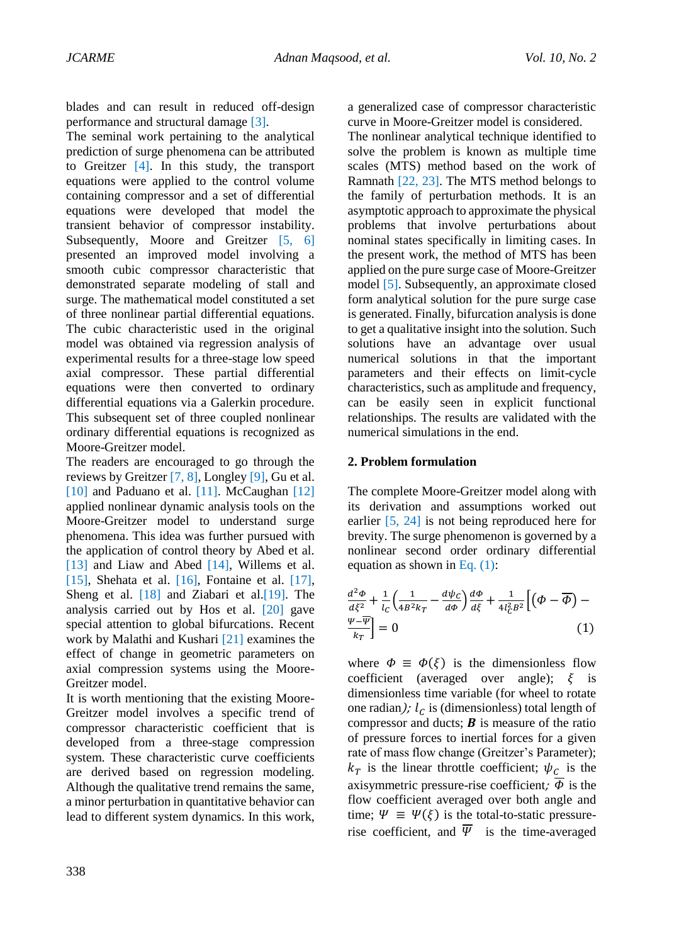blades and can result in reduced off-design performance and structural damage [\[3\]](#page-6-2).

The seminal work pertaining to the analytical prediction of surge phenomena can be attributed to Greitzer [\[4\]](#page-6-3). In this study, the transport equations were applied to the control volume containing compressor and a set of differential equations were developed that model the transient behavior of compressor instability. Subsequently, Moore and Greitzer [\[5,](#page-6-4) [6\]](#page-6-5) presented an improved model involving a smooth cubic compressor characteristic that demonstrated separate modeling of stall and surge. The mathematical model constituted a set of three nonlinear partial differential equations. The cubic characteristic used in the original model was obtained via regression analysis of experimental results for a three-stage low speed axial compressor. These partial differential equations were then converted to ordinary differential equations via a Galerkin procedure. This subsequent set of three coupled nonlinear ordinary differential equations is recognized as Moore-Greitzer model.

The readers are encouraged to go through the reviews by Greitzer [\[7,](#page-6-6) [8\]](#page-6-7), Longley [\[9\]](#page-6-8), Gu et al. [\[10\]](#page-6-9) and Paduano et al. [\[11\]](#page-6-10). McCaughan [\[12\]](#page-6-11) applied nonlinear dynamic analysis tools on the Moore-Greitzer model to understand surge phenomena. This idea was further pursued with the application of control theory by Abed et al. [\[13\]](#page-6-12) and Liaw and Abed [\[14\]](#page-6-13), Willems et al. [\[15\]](#page-6-14), Shehata et al. [\[16\]](#page-6-15), Fontaine et al. [\[17\]](#page-6-16), Sheng et al. [\[18\]](#page-6-17) and Ziabari et al. [\[19\]](#page-6-18). The analysis carried out by Hos et al. [\[20\]](#page-7-0) gave special attention to global bifurcations. Recent work by Malathi and Kushari [\[21\]](#page-7-1) examines the effect of change in geometric parameters on axial compression systems using the Moore-Greitzer model.

It is worth mentioning that the existing Moore-Greitzer model involves a specific trend of compressor characteristic coefficient that is developed from a three-stage compression system. These characteristic curve coefficients are derived based on regression modeling. Although the qualitative trend remains the same, a minor perturbation in quantitative behavior can lead to different system dynamics. In this work,

a generalized case of compressor characteristic curve in Moore-Greitzer model is considered.

The nonlinear analytical technique identified to solve the problem is known as multiple time scales (MTS) method based on the work of Ramnath [\[22,](#page-7-2) [23\]](#page-7-3). The MTS method belongs to the family of perturbation methods. It is an asymptotic approach to approximate the physical problems that involve perturbations about nominal states specifically in limiting cases. In the present work, the method of MTS has been applied on the pure surge case of Moore-Greitzer model [\[5\]](#page-6-4). Subsequently, an approximate closed form analytical solution for the pure surge case is generated. Finally, bifurcation analysis is done to get a qualitative insight into the solution. Such solutions have an advantage over usual numerical solutions in that the important parameters and their effects on limit-cycle characteristics, such as amplitude and frequency, can be easily seen in explicit functional relationships. The results are validated with the numerical simulations in the end.

#### **2. Problem formulation**

The complete Moore-Greitzer model along with its derivation and assumptions worked out earlier [\[5,](#page-6-4) [24\]](#page-7-4) is not being reproduced here for brevity. The surge phenomenon is governed by a nonlinear second order ordinary differential equation as shown in [Eq.](#page-1-0) (1):

<span id="page-1-0"></span>
$$
\frac{d^2\Phi}{d\xi^2} + \frac{1}{l_C} \left( \frac{1}{4B^2 k_T} - \frac{d\psi_C}{d\Phi} \right) \frac{d\Phi}{d\xi} + \frac{1}{4l_C^2 B^2} \left[ \left( \Phi - \overline{\Phi} \right) - \frac{\Psi - \overline{\Psi}}{k_T} \right] = 0 \tag{1}
$$

where  $\Phi \equiv \Phi(\xi)$  is the dimensionless flow coefficient (averaged over angle);  $\xi$  is dimensionless time variable (for wheel to rotate one radian);  $l_c$  is (dimensionless) total length of compressor and ducts;  $\bf{B}$  is measure of the ratio of pressure forces to inertial forces for a given rate of mass flow change (Greitzer's Parameter);  $k_T$  is the linear throttle coefficient;  $\psi_c$  is the axisymmetric pressure-rise coefficient;  $\overline{\Phi}$  is the flow coefficient averaged over both angle and time;  $\Psi \equiv \Psi(\xi)$  is the total-to-static pressurerise coefficient, and  $\overline{\Psi}$  is the time-averaged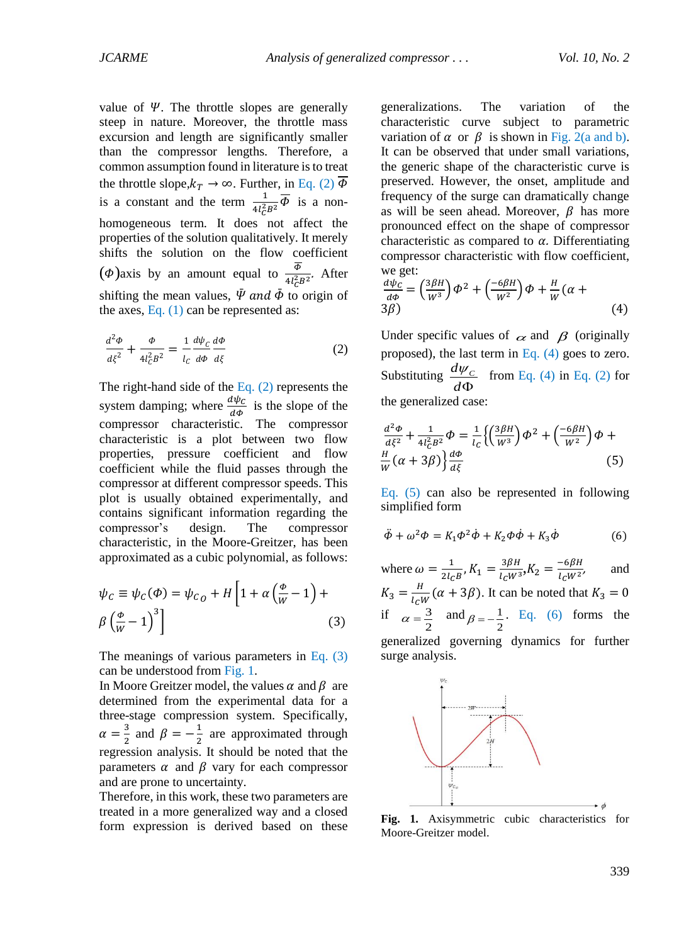value of  $\Psi$ . The throttle slopes are generally steep in nature. Moreover, the throttle mass excursion and length are significantly smaller than the compressor lengths. Therefore, a common assumption found in literature is to treat the throttle slope, $k_T \rightarrow \infty$ . Further, in [Eq.](#page-2-0) (2)  $\Phi$ is a constant and the term  $\frac{1}{4l_c^2B^2}\overline{\Phi}$  is a nonhomogeneous term. It does not affect the properties of the solution qualitatively. It merely shifts the solution on the flow coefficient ( $\phi$ )axis by an amount equal to  $\frac{\phi}{4l_c^2B^2}$ . After shifting the mean values,  $\bar{\Psi}$  and  $\bar{\Phi}$  to origin of the axes, [Eq.](#page-1-0)  $(1)$  can be represented as:

<span id="page-2-0"></span>
$$
\frac{d^2\phi}{d\xi^2} + \frac{\phi}{4l_c^2B^2} = \frac{1}{l_c}\frac{d\psi_c}{d\phi}\frac{d\phi}{d\xi}
$$
 (2)

The right-hand side of the [Eq.](#page-2-0)  $(2)$  represents the system damping; where  $\frac{d\psi_c}{d\phi}$  is the slope of the compressor characteristic. The compressor characteristic is a plot between two flow properties, pressure coefficient and flow coefficient while the fluid passes through the compressor at different compressor speeds. This plot is usually obtained experimentally, and contains significant information regarding the compressor's design. The compressor characteristic, in the Moore-Greitzer, has been approximated as a cubic polynomial, as follows:

<span id="page-2-1"></span>
$$
\psi_C \equiv \psi_C(\Phi) = \psi_{C_O} + H \left[ 1 + \alpha \left( \frac{\Phi}{W} - 1 \right) + \beta \left( \frac{\Phi}{W} - 1 \right)^3 \right]
$$
\n(3)

The meanings of various parameters in [Eq.](#page-2-1) (3) can be understood from [Fig.](#page-2-2) 1.

In Moore Greitzer model, the values  $\alpha$  and  $\beta$  are determined from the experimental data for a three-stage compression system. Specifically,  $\alpha = \frac{3}{2}$  $\frac{3}{2}$  and  $\beta = -\frac{1}{2}$  $\frac{1}{2}$  are approximated through regression analysis. It should be noted that the parameters  $\alpha$  and  $\beta$  vary for each compressor and are prone to uncertainty.

Therefore, in this work, these two parameters are treated in a more generalized way and a closed form expression is derived based on these generalizations. The variation of the characteristic curve subject to parametric variation of  $\alpha$  or  $\beta$  is shown in [Fig.](#page-2-3) 2(a and b). It can be observed that under small variations, the generic shape of the characteristic curve is preserved. However, the onset, amplitude and frequency of the surge can dramatically change as will be seen ahead. Moreover,  $\beta$  has more pronounced effect on the shape of compressor characteristic as compared to  $\alpha$ . Differentiating compressor characteristic with flow coefficient, we get:

<span id="page-2-4"></span>
$$
\frac{d\psi_c}{d\phi} = \left(\frac{3\beta H}{W^3}\right)\phi^2 + \left(\frac{-6\beta H}{W^2}\right)\phi + \frac{H}{W}(\alpha + 3\beta)
$$
\n(4)

Under specific values of  $\alpha$  and  $\beta$  (originally proposed), the last term in [Eq. \(4\)](#page-2-4) goes to zero. Substituting  $\frac{d\psi_c}{dt}$ *d*  $\iota \psi$  $\frac{\rho_C}{\Phi}$  from [Eq. \(4\)](#page-2-4) in [Eq. \(2\)](#page-2-0) for the generalized case:

$$
\frac{d^2\Phi}{d\xi^2} + \frac{1}{4l_c^2B^2}\Phi = \frac{1}{l_c}\left\{\left(\frac{3\beta H}{W^3}\right)\Phi^2 + \left(\frac{-6\beta H}{W^2}\right)\Phi + \frac{H}{W}(\alpha + 3\beta)\right\}\frac{d\Phi}{d\xi}
$$
\n(5)

Eq. (5) can also be represented in following simplified form

$$
\ddot{\phi} + \omega^2 \phi = K_1 \phi^2 \dot{\phi} + K_2 \phi \dot{\phi} + K_3 \dot{\phi}
$$
 (6)

where  $\omega = \frac{1}{2l}$  $\frac{1}{2l_{C}B}$ ,  $K_{1} = \frac{3\beta H}{l_{C}W^{3}}$  $\frac{3\beta H}{l_C W^3}$ ,  $K_2 = \frac{-6\beta H}{l_C W^2}$  $l_C W^2$ , and  $K_3 = \frac{H}{I_{\text{cl}}}$  $\frac{n}{l_cW}(\alpha + 3\beta)$ . It can be noted that  $K_3 = 0$ if  $\alpha = \frac{3}{2}$  $\alpha = \frac{3}{2}$  and  $\beta = -\frac{1}{2}$  $\beta = -\frac{1}{2}$ . Eq. (6) forms the generalized governing dynamics for further surge analysis.

<span id="page-2-2"></span>

<span id="page-2-3"></span>**Fig. 1.** Axisymmetric cubic characteristics for Moore-Greitzer model.

 $\phi$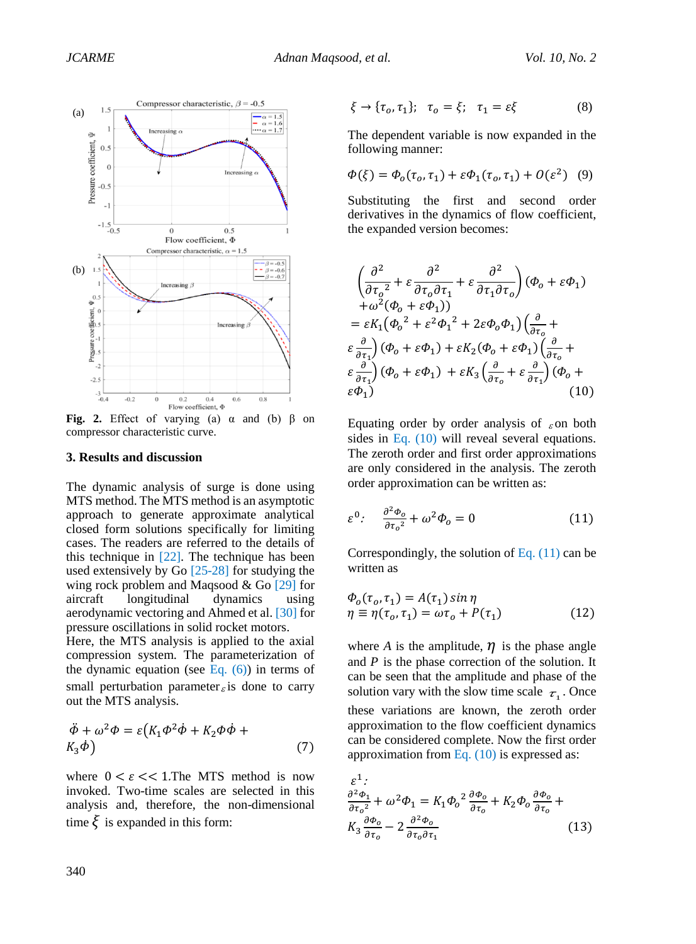

<span id="page-3-0"></span>**Fig. 2.** Effect of varying (a)  $\alpha$  and (b)  $\beta$  on compressor chara[cteristic c](#page-3-0)urve.

#### **3. Results and discussion**

The dynamic analysis of surge is done using MTS method. The MTS method is an asymptotic approach to generate approximate analytical closed form solutions specifically for limiting cases. The readers are referred to the details of this technique in  $[22]$ . The technique has been used extensively [by Go](#page-7-2) [25-28] for studying the wing rock problem and [Maqsoo](#page-7-5)d & Go [29] for aircraft longitudinal dynamics [us](#page-7-6)ing aerodynamic vectoring and Ahmed et al. [30] for pressure oscillations in solid rocket mot[ors.](#page-7-7) 

small perturbation parameter  $\epsilon$  [is don](#page-3-0)e to carry Here, the MTS analysis is applied to the axial compression system. The parameterization of the dynamic equation (see Eq.  $(6)$ ) in terms of out the MTS analysis.

$$
\ddot{\phi} + \omega^2 \phi = \varepsilon (K_1 \phi^2 \dot{\phi} + K_2 \phi \dot{\phi} + K_3 \dot{\phi})
$$
\n(7)

where  $0 \lt \epsilon \lt \lt 1$ . The MTS method is now invoked. Two-time scales are selected in this analysis and, therefore, the non-dimensional time  $\xi$  is expanded in this form:

$$
\xi \to \{\tau_o, \tau_1\}; \quad \tau_o = \xi; \quad \tau_1 = \varepsilon \xi \tag{8}
$$

The dependent variable is now expanded in the following manner:

$$
\Phi(\xi) = \Phi_0(\tau_0, \tau_1) + \varepsilon \Phi_1(\tau_0, \tau_1) + O(\varepsilon^2) \quad (9)
$$

Substituting the first and second order derivatives in the dynamics of flow coefficient, the expanded version becomes:

$$
\left(\frac{\partial^2}{\partial \tau_o^2} + \varepsilon \frac{\partial^2}{\partial \tau_o \partial \tau_1} + \varepsilon \frac{\partial^2}{\partial \tau_1 \partial \tau_o}\right) (\phi_o + \varepsilon \phi_1) \n+ \omega^2 (\phi_o + \varepsilon \phi_1)) \n= \varepsilon K_1 (\phi_o^2 + \varepsilon^2 \phi_1^2 + 2\varepsilon \phi_o \phi_1) \left(\frac{\partial}{\partial \tau_o} + \varepsilon \frac{\partial}{\partial \tau_1}\right) (\phi_o + \varepsilon \phi_1) + \varepsilon K_2 (\phi_o + \varepsilon \phi_1) \left(\frac{\partial}{\partial \tau_o} + \varepsilon \frac{\partial}{\partial \tau_1}\right) (\phi_o + \varepsilon \phi_1) + \varepsilon K_3 \left(\frac{\partial}{\partial \tau_o} + \varepsilon \frac{\partial}{\partial \tau_1}\right) (\phi_o + \varepsilon \phi_1)
$$
\n(10)

<span id="page-3-1"></span>Equating order by order analysis of  $\epsilon$  on both sides in Eq. (10) will reveal several equations. The zeroth order and first order approximations are only considered in the analysis. The zeroth order a[pproximati](#page-3-1)on can be written as:

$$
\varepsilon^{0}: \quad \frac{\partial^{2} \Phi_{o}}{\partial \tau_{o}^{2}} + \omega^{2} \Phi_{o} = 0 \tag{11}
$$

Correspondingly, the solution of Eq. (11) can be written as

$$
\begin{aligned} \n\Phi_0(\tau_o, \tau_1) &= A(\tau_1) \sin \eta \\ \n\eta & \equiv \eta(\tau_o, \tau_1) = \omega \tau_o + P(\tau_1) \tag{12} \n\end{aligned}
$$

where *A* is the amplitude,  $\eta$  is the phase angle and *P* is the phase correction of the solution. It can be seen that the amplitude and phase of the solution vary with the slow time scale  $\tau_1$ . Once these variations are known, the zeroth order approximation to the flow coefficient dynamics can be considered complete. Now the first order approximation from Eq.  $(10)$  is expressed as:

$$
\varepsilon^{1}
$$
\n
$$
\frac{\partial^{2} \Phi_{1}}{\partial \tau_{o}^{2}} + \omega^{2} \Phi_{1} = K_{1} \Phi_{o}^{2} \frac{\partial \Phi_{o}}{\partial \tau_{o}} + K_{2} \Phi_{o} \frac{\partial \Phi_{o}}{\partial \tau_{o}} + K_{3} \frac{\partial \Phi_{o}}{\partial \tau_{o}} + K_{4} \frac{\partial \Phi_{o}}{\partial \tau_{o}} - 2 \frac{\partial^{2} \Phi_{o}}{\partial \tau_{o} \partial \tau_{1}}
$$
\n(13)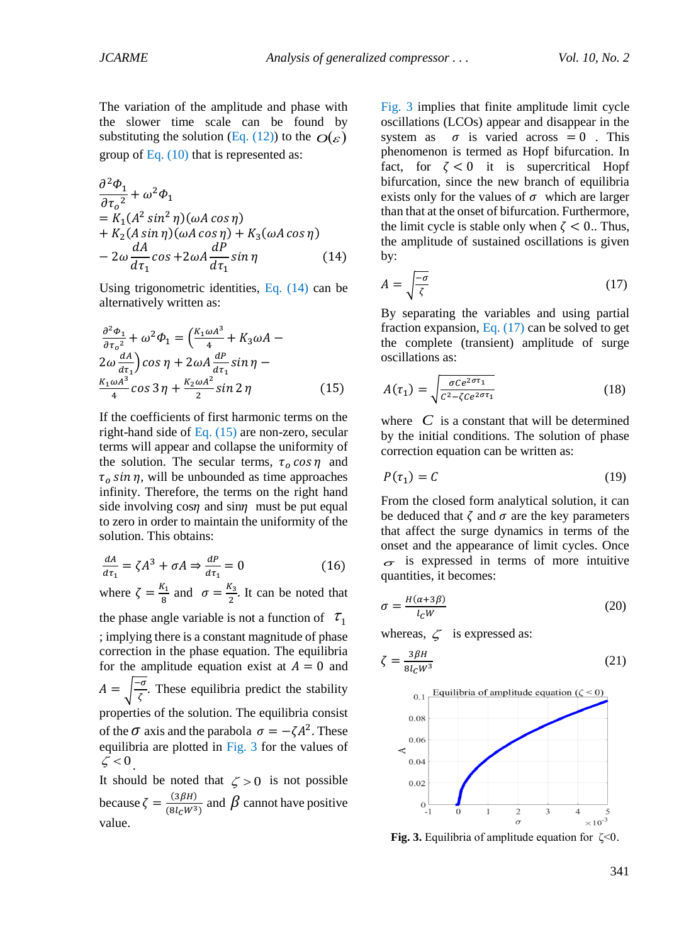The variation of the amplitude and phase with the slower time scale can be found by substituting the solution (Eq. (12)) to the  $O(\varepsilon)$ group of Eq.  $(10)$  that is represented as:

$$
\frac{\partial^2 \Phi_1}{\partial \tau_o^2} + \omega^2 \Phi_1
$$
  
=  $K_1 (A^2 \sin^2 \eta) (\omega A \cos \eta)$   
+  $K_2 (A \sin \eta) (\omega A \cos \eta) + K_3 (\omega A \cos \eta)$   
-  $2\omega \frac{dA}{d\tau_1} \cos + 2\omega A \frac{dP}{d\tau_1} \sin \eta$  (14)

<span id="page-4-0"></span>Using trigonometric identities, Eq. (14) can be alternatively written as:

$$
\frac{\partial^2 \Phi_1}{\partial \tau_o^2} + \omega^2 \Phi_1 = \left(\frac{K_1 \omega A^3}{4} + K_3 \omega A - 2\omega \frac{dA}{d\tau_1}\right) \cos \eta + 2\omega A \frac{dP}{d\tau_1} \sin \eta - \frac{K_1 \omega A^3}{4} \cos 3 \eta + \frac{K_2 \omega A^2}{2} \sin 2 \eta \tag{15}
$$

If the coefficients of first harmonic terms on the right-hand side of Eq.  $(15)$  are non-zero, secular terms will appear and collapse the uniformity of the solution. The secular terms,  $\tau_0 \cos \eta$  and  $\tau_o$  sin  $\eta$ , will be unbounded as time approaches infinity. Therefore, the terms on the right hand side involving  $\cos \eta$  and  $\sin \eta$  must be put equal to zero in order to maintain the uniformity of the solution. This obtains:

$$
\frac{dA}{d\tau_1} = \zeta A^3 + \sigma A \Rightarrow \frac{dP}{d\tau_1} = 0 \tag{16}
$$

where  $\zeta = \frac{K_1}{g}$  $\frac{K_1}{8}$  and  $\sigma = \frac{K_3}{2}$  $\frac{x_3}{2}$ . It can be noted that the phase angle variable is not a function of  $\tau_1$ ; implying there is a constant magnitude of phase correction in the phase equation. The equilibria for the amplitude equation exist at  $A = 0$  and  $A = \frac{1-\sigma}{z}$  $\frac{\sigma}{\zeta}$ . These equilibria predict the stability properties of the solution. The equilibria consist of the  $\sigma$  axis and the parabola  $\sigma = -\zeta A^2$ . These equilibria are plotted in Fig. 3 for the values of  $\zeta < 0$ . It should be noted that  $\zeta > 0$  is not possible

because  $\zeta = \frac{(3\beta H)}{(9H)^{1/3}}$  $\frac{(3\beta H)}{(8l_cW^3)}$  and  $\beta$  cannot have positive value.

Fig. 3 implies that fini[te ampl](#page-4-2)itude limit cycle oscillations (LCOs) appear and disappear in the system as  $\sigma$  is varied across = 0. This phenomenon is termed as Hopf bifurcation. In fact, for  $\zeta < 0$  it is supercritical Hopf bifurcation, since the new branch of equilibria [exists o](#page-4-2)nly for the values of  $\sigma$  which are larger than that at the onset of bifurcation. Furthermore, the limit cycle is stable only when  $\zeta$  < 0.. Thus, the amplitude of sustained oscillations is given by:

$$
A = \sqrt{\frac{-\sigma}{\zeta}}\tag{17}
$$

By separating the variables and using partial fraction expansion, Eq.  $(17)$  can be solved to get the complete (transient) amplitude of surge oscillations as:

<span id="page-4-3"></span>
$$
A(\tau_1) = \sqrt{\frac{\sigma c e^{2\sigma \tau_1}}{c^2 - \zeta c e^{2\sigma \tau_1}}}
$$
(18)

<span id="page-4-1"></span>where  $C$  is a constant that will be determined by the initial cond[itions. Th](#page-4-3)e solution of phase correction equation can be written as:

<span id="page-4-4"></span>
$$
P(\tau_1) = C \tag{19}
$$

From the closed form analytical solution, it can be deduced that  $\zeta$  and  $\sigma$  are the key parameters that affect the surge dynamics in terms of the onset and the appearance of limit cycles. Once  $\sigma$  is expressed in terms of more intuitive quantities, it becomes:

<span id="page-4-5"></span>
$$
\sigma = \frac{H(\alpha + 3\beta)}{l_c W} \tag{20}
$$

whereas,  $\zeta$  is expressed as:

$$
\zeta = \frac{3\beta H}{8l_C W^3} \tag{21}
$$



<span id="page-4-2"></span>**Fig. 3.** Equilibria of amplitude equation for ζ<0.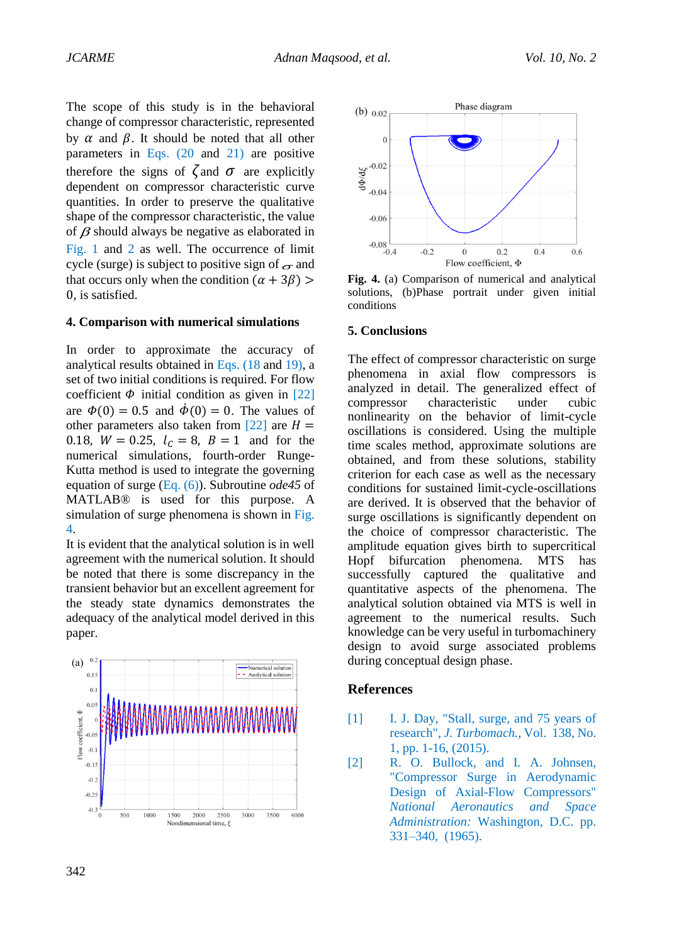<span id="page-5-0"></span>The scope of this study is in the behavioral change of compressor characteristic, represented by  $\alpha$  and  $\beta$ . It should be noted that all other parameters in Eqs. (20 and 21) are positive therefore the signs of  $\zeta$  and  $\sigma$  are explicitly dependent on compressor characteristic curve quantities. In order to preserve the qualitative shape of the compressor characteristic, the value of  $\beta$  should always be negative as elaborated in Fig. 1 and 2 as well. The occurrence of limit cycle (surge) is subject to positive sign of  $\sigma$  and that occurs only when the condition  $(\alpha + 3\beta)$ 0, is satisfied.

#### <span id="page-5-1"></span>**4. Comparison with numerical simulations**

In order to [approxima](#page-5-0)te [the](#page-5-1) accuracy of analytical results obtained in Eqs. (18 and 19), a set of two initial conditions is required. For flow coefficient  $\Phi$  initial condition as given in [22] are  $\phi(0) = 0.5$  and  $\dot{\phi}(0) = 0$ . The values of other parameters also taken from [22] are  $H =$ 0.18,  $W = 0.25$ ,  $l_c = 8$ ,  $B = 1$  and for the [numeri](#page-2-2)cal [si](#page-2-3)mulations, fourth-order Runge-Kutta method is used to integrate the governing equation of surge (Eq. (6)). Subroutine *ode45* of MATLAB® is used for this purpose. A simulation of surge phenomena is shown in Fig. 4.

It is evident that the analytical solution is in well agreement with the numerical solution. It should be noted that there is some [discrepan](#page-4-4)cy [in th](#page-4-5)e transient behavior but an excellent agreement for the steady state dynamics demonstrates [the](#page-7-8)  adequacy of the analytical model [derive](#page-7-8)d in this paper.





**Fig. 4.** (a) Comparison of numerical and analytical solutions, (b)Phase portrait under given initial conditions

#### **5. Conclusions**

The effect of compressor characteristic on surge phenomena in axial flow compressors is analyzed in detail. The generalized effect of compressor characteristic under cubic nonlinearity on the behavior of limit-cycle oscillations is considered. Using the multiple time scales method, approximate solutions are obtained, and from these solutions, stability criterion for each case as well as the necessary conditions for sustained limit-cycle-oscillations are derived. It is observed that the behavior of surge oscillations is significantly dependent on the choice of compressor characteristic. The amplitude equation gives birth to supercritical Hopf bifurcation phenomena. MTS has successfully captured the qualitative and quantitative aspects of the phenomena. The analytical solution obtained via MTS is well in agreement to the numerical results. Such knowledge can be very useful in turbomachinery design to avoid surge associated problems during conceptual design phase.

### **References**

- [1] I. J. Day, "Stall, surge, and 75 years of research", *J. Turbomach.*, Vol. 138, No. 1, pp. 1-16, (2015).
- [2] R. O. Bullock, and I. A. Johnsen, "Compressor Surge in Aerodynamic Design of Axial-Flow Compressors" *National Aeronautics and Space Administration:* Washington, D.C. pp. 331–340, (1965).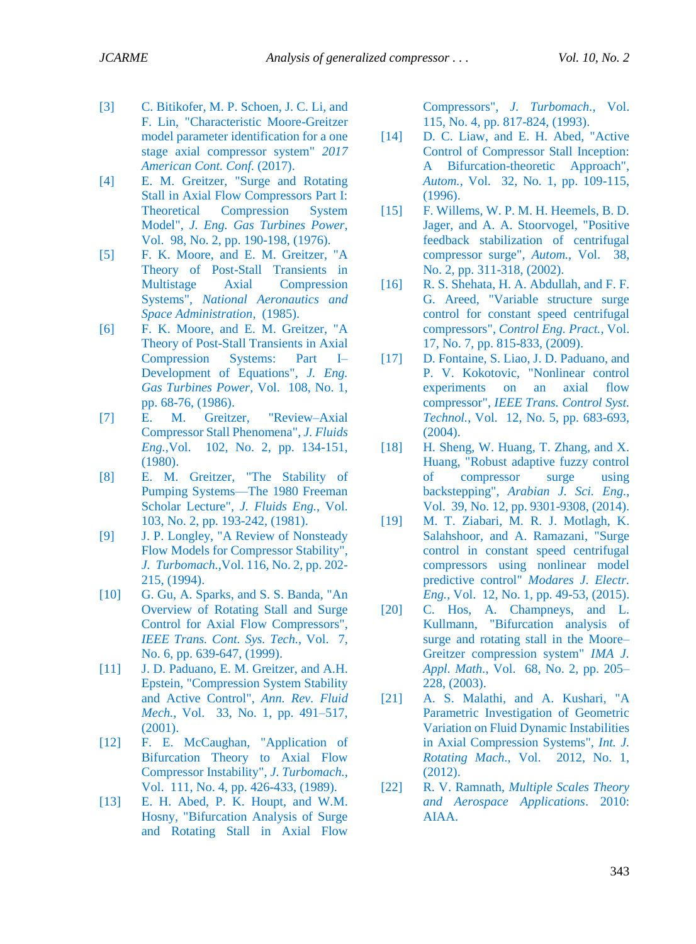- [3] C. Bitikofer, M. P. Schoen, J. C. Li, and F. Lin, "Characteristic Moore-Greitzer model parameter identification for a one stage axial compressor system" *2017 American Cont. Conf.* (2017).
- <span id="page-6-0"></span>[4] E. M. Greitzer, "Surge and Rotating Stall in Axial Flow Compressors Part I: Theoretical Compression System Model", *J. Eng. Gas Turbines Power*, Vol. 98, No. 2, pp. 190-198, (1976).
- <span id="page-6-1"></span>[5] F. K. Moore, and E. M. Greitzer, "A Theory of Post-Stall Transients in Multistage Axial Compression Systems", *National Aeronautics and Space Administration*, (1985).
- <span id="page-6-2"></span>[6] F. K. Moore, and E. M. Greitzer, "A Theory of Post-Stall Transients in Axial Compression Systems: Part I– Development of Equations", *J. Eng. Gas Turbines Power*, Vol. 108, No. 1, pp. 68-76, (1986).
- <span id="page-6-3"></span>[7] E. M. Greitzer, "Review–Axial Compressor Stall Phenomena", *J. Fluids Eng.*,Vol. 102, No. 2, pp. 134-151, (1980).
- <span id="page-6-4"></span>[8] E. M. Greitzer, "The Stability of Pumping Systems—The 1980 Freeman Scholar Lecture", *J. Fluids Eng.*, Vol. 103, No. 2, pp. 193-242, (1981).
- <span id="page-6-5"></span>[9] J. P. Longley, "A Review of Nonsteady Flow Models for Compressor Stability", *J. Turbomach.*,Vol. 116, No. 2, pp. 202- 215, (1994).
- <span id="page-6-6"></span>[10] G. Gu, A. Sparks, and S. S. Banda, "An Overview of Rotating Stall and Surge Control for Axial Flow Compressors", *IEEE Trans. Cont. Sys. Tech.*, Vol. 7, No. 6, pp. 639-647, (1999).
- <span id="page-6-7"></span>[11] J. D. Paduano, E. M. Greitzer, and A.H. Epstein, "Compression System Stability and Active Control", *Ann. Rev. Fluid Mech.*, Vol. 33, No. 1, pp. 491–517, (2001).
- <span id="page-6-8"></span>[12] F. E. McCaughan, "Application of Bifurcation Theory to Axial Flow Compressor Instability", *J. Turbomach.*, Vol. 111, No. 4, pp. 426-433, (1989).
- <span id="page-6-9"></span>[13] E. H. Abed, P. K. Houpt, and W.M. Hosny, "Bifurcation Analysis of Surge and Rotating Stall in Axial Flow

Compressors", *J. Turbomach.*, Vol. 115, No. 4, pp. 817-824, (1993).

- <span id="page-6-10"></span>[14] D. C. Liaw, and E. H. Abed, "Active" Control of Compressor Stall Inception: A Bifurcation-theoretic Approach", *Autom.*, Vol. 32, No. 1, pp. 109-115, (1996).
- <span id="page-6-11"></span>[15] F. Willems, W. P. M. H. Heemels, B. D. Jager, and A. A. Stoorvogel, "Positive feedback stabilization of centrifugal compressor surge", *Autom.*, Vol. 38, No. 2, pp. 311-318, (2002).
- <span id="page-6-12"></span>[16] R. S. Shehata, H. A. Abdullah, and F. F. G. Areed, "Variable structure surge control for constant speed centrifugal compressors", *Control Eng. Pract.*, Vol. 17, No. 7, pp. 815-833, (2009).
- <span id="page-6-13"></span>[17] D. Fontaine, S. Liao, J. D. Paduano, and P. V. Kokotovic, "Nonlinear control experiments on an axial flow compressor", *IEEE Trans. Control Syst. Technol.*, Vol. 12, No. 5, pp. 683-693, (2004).
- <span id="page-6-14"></span>[18] H. Sheng, W. Huang, T. Zhang, and X. Huang, "Robust adaptive fuzzy control of compressor surge using backstepping", *Arabian J. Sci. Eng.*, Vol. 39, No. 12, pp. 9301-9308, (2014).
- <span id="page-6-15"></span>[19] M. T. Ziabari, M. R. J. Motlagh, K. Salahshoor, and A. Ramazani, "Surge control in constant speed centrifugal compressors using nonlinear model predictive control" *Modares J. Electr. Eng.*, Vol. 12, No. 1, pp. 49-53, (2015).
- <span id="page-6-16"></span>[20] C. Hos, A. Champneys, and L. Kullmann, "Bifurcation analysis of surge and rotating stall in the Moore– Greitzer compression system" *IMA J. Appl. Math.*, Vol. 68, No. 2, pp. 205– 228, (2003).
- <span id="page-6-17"></span>[21] A. S. Malathi, and A. Kushari, "A Parametric Investigation of Geometric Variation on Fluid Dynamic Instabilities in Axial Compression Systems", *Int. J. Rotating Mach.*, Vol. 2012, No. 1, (2012).
- <span id="page-6-18"></span>[22] R. V. Ramnath, *Multiple Scales Theory and Aerospace Applications*. 2010: AIAA.